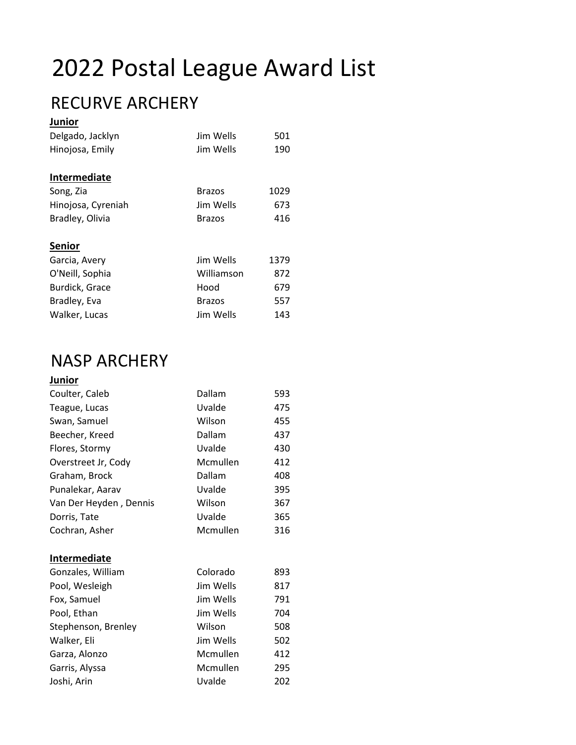# 2022 Postal League Award List

### RECURVE ARCHERY

| <b>Junior</b>      |               |      |
|--------------------|---------------|------|
| Delgado, Jacklyn   | Jim Wells     | 501  |
| Hinojosa, Emily    | Jim Wells     | 190  |
| Intermediate       |               |      |
| Song, Zia          | <b>Brazos</b> | 1029 |
| Hinojosa, Cyreniah | Jim Wells     | 673  |
| Bradley, Olivia    | <b>Brazos</b> | 416  |
| <b>Senior</b>      |               |      |
| Garcia, Avery      | Jim Wells     | 1379 |
| O'Neill, Sophia    | Williamson    | 872  |
| Burdick, Grace     | Hood          | 679  |
| Bradley, Eva       | <b>Brazos</b> | 557  |
| Walker, Lucas      | Jim Wells     | 143  |

#### NASP ARCHERY

### **Junior**

| Coulter, Caleb         | Dallam    | 593 |
|------------------------|-----------|-----|
| Teague, Lucas          | Uvalde    | 475 |
| Swan, Samuel           | Wilson    | 455 |
| Beecher, Kreed         | Dallam    | 437 |
| Flores, Stormy         | Uvalde    | 430 |
| Overstreet Jr, Cody    | Mcmullen  | 412 |
| Graham, Brock          | Dallam    | 408 |
| Punalekar, Aarav       | Uvalde    | 395 |
| Van Der Heyden, Dennis | Wilson    | 367 |
| Dorris, Tate           | Uvalde    | 365 |
| Cochran, Asher         | Mcmullen  | 316 |
| <b>Intermediate</b>    |           |     |
| Gonzales, William      | Colorado  | 893 |
| Pool, Wesleigh         | Jim Wells | 817 |
| Fox, Samuel            | Jim Wells | 791 |
| Pool, Ethan            | Jim Wells | 704 |
| Stephenson, Brenley    | Wilson    | 508 |
| Walker, Eli            | Jim Wells | 502 |
| Garza, Alonzo          | Mcmullen  | 412 |
| Garris, Alyssa         | Mcmullen  | 295 |
| Joshi, Arin            | Uvalde    | 202 |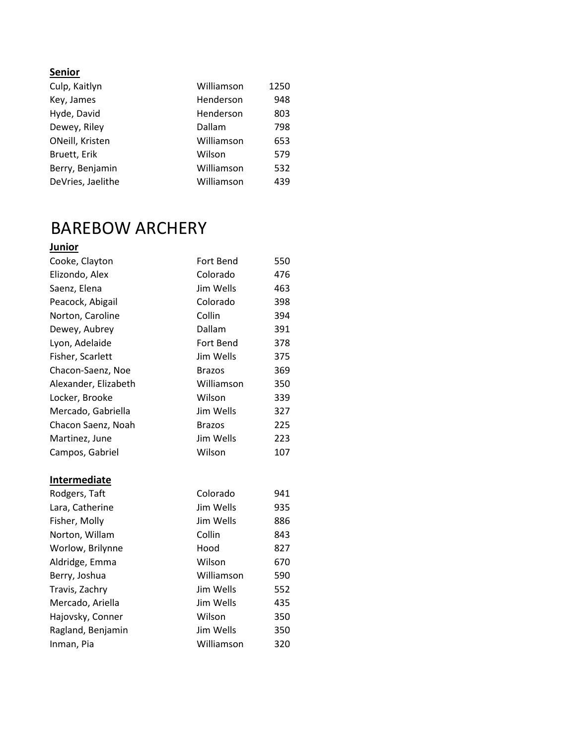| Culp, Kaitlyn     | Williamson | 1250 |
|-------------------|------------|------|
| Key, James        | Henderson  | 948  |
| Hyde, David       | Henderson  | 803  |
| Dewey, Riley      | Dallam     | 798  |
| ONeill, Kristen   | Williamson | 653  |
| Bruett, Erik      | Wilson     | 579  |
| Berry, Benjamin   | Williamson | 532  |
| DeVries, Jaelithe | Williamson | 439  |

### BAREBOW ARCHERY

| Junior               |                  |     |
|----------------------|------------------|-----|
| Cooke, Clayton       | Fort Bend        | 550 |
| Elizondo, Alex       | Colorado         | 476 |
| Saenz, Elena         | Jim Wells        | 463 |
| Peacock, Abigail     | Colorado         | 398 |
| Norton, Caroline     | Collin           | 394 |
| Dewey, Aubrey        | Dallam           | 391 |
| Lyon, Adelaide       | <b>Fort Bend</b> | 378 |
| Fisher, Scarlett     | Jim Wells        | 375 |
| Chacon-Saenz, Noe    | <b>Brazos</b>    | 369 |
| Alexander, Elizabeth | Williamson       | 350 |
| Locker, Brooke       | Wilson           | 339 |
| Mercado, Gabriella   | Jim Wells        | 327 |
| Chacon Saenz, Noah   | <b>Brazos</b>    | 225 |
| Martinez, June       | Jim Wells        | 223 |
| Campos, Gabriel      | Wilson           | 107 |
| <b>Intermediate</b>  |                  |     |
| Rodgers, Taft        | Colorado         | 941 |
| Lara, Catherine      | Jim Wells        | 935 |
| Fisher, Molly        | Jim Wells        | 886 |
| Norton, Willam       | Collin           | 843 |
| Worlow, Brilynne     | Hood             | 827 |
| Aldridge, Emma       | Wilson           | 670 |
| Berry, Joshua        | Williamson       | 590 |
| Travis, Zachry       | Jim Wells        | 552 |
| Mercado, Ariella     | Jim Wells        | 435 |
| Hajovsky, Conner     | Wilson           | 350 |
| Ragland, Benjamin    | Jim Wells        | 350 |
| Inman, Pia           | Williamson       | 320 |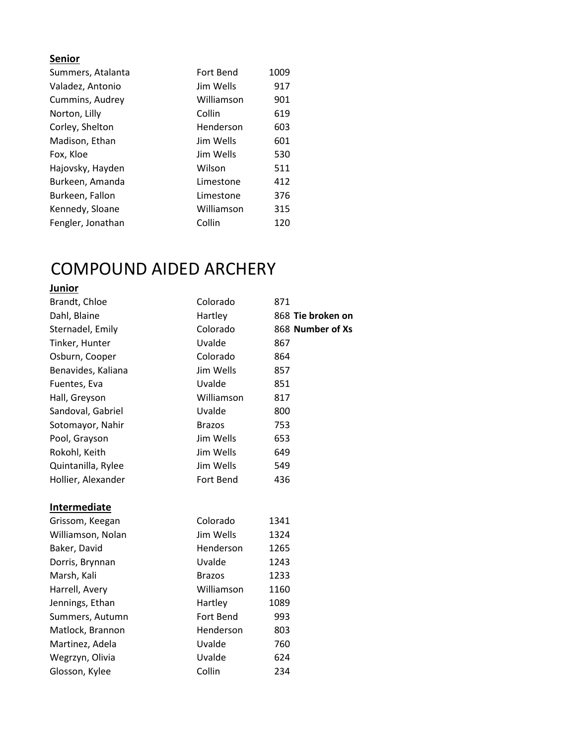| Summers, Atalanta | Fort Bend  | 1009 |
|-------------------|------------|------|
| Valadez, Antonio  | Jim Wells  | 917  |
| Cummins, Audrey   | Williamson | 901  |
| Norton, Lilly     | Collin     | 619  |
| Corley, Shelton   | Henderson  | 603  |
| Madison, Ethan    | Jim Wells  | 601  |
| Fox, Kloe         | Jim Wells  | 530  |
| Hajovsky, Hayden  | Wilson     | 511  |
| Burkeen, Amanda   | Limestone  | 412  |
| Burkeen, Fallon   | Limestone  | 376  |
| Kennedy, Sloane   | Williamson | 315  |
| Fengler, Jonathan | Collin     | 120  |

# COMPOUND AIDED ARCHERY

#### **Junior**

| Brandt, Chloe       | Colorado      | 871               |
|---------------------|---------------|-------------------|
| Dahl, Blaine        | Hartley       | 868 Tie broken on |
| Sternadel, Emily    | Colorado      | 868 Number of Xs  |
| Tinker, Hunter      | Uvalde        | 867               |
| Osburn, Cooper      | Colorado      | 864               |
| Benavides, Kaliana  | Jim Wells     | 857               |
| Fuentes, Eva        | Uvalde        | 851               |
| Hall, Greyson       | Williamson    | 817               |
| Sandoval, Gabriel   | Uvalde        | 800               |
| Sotomayor, Nahir    | <b>Brazos</b> | 753               |
| Pool, Grayson       | Jim Wells     | 653               |
| Rokohl, Keith       | Jim Wells     | 649               |
| Quintanilla, Rylee  | Jim Wells     | 549               |
| Hollier, Alexander  | Fort Bend     | 436               |
|                     |               |                   |
| <b>Intermediate</b> |               |                   |
| Grissom, Keegan     | Colorado      | 1341              |
| Williamson, Nolan   | Jim Wells     | 1324              |
| Baker, David        | Henderson     | 1265              |
| Dorris, Brynnan     | Uvalde        | 1243              |
| Marsh, Kali         | <b>Brazos</b> | 1233              |
| Harrell, Avery      | Williamson    | 1160              |
| Jennings, Ethan     | Hartley       | 1089              |
| Summers, Autumn     | Fort Bend     | 993               |
| Matlock, Brannon    | Henderson     | 803               |
| Martinez, Adela     | Uvalde        | 760               |
| Wegrzyn, Olivia     | Uvalde        | 624               |
| Glosson, Kylee      | Collin        | 234               |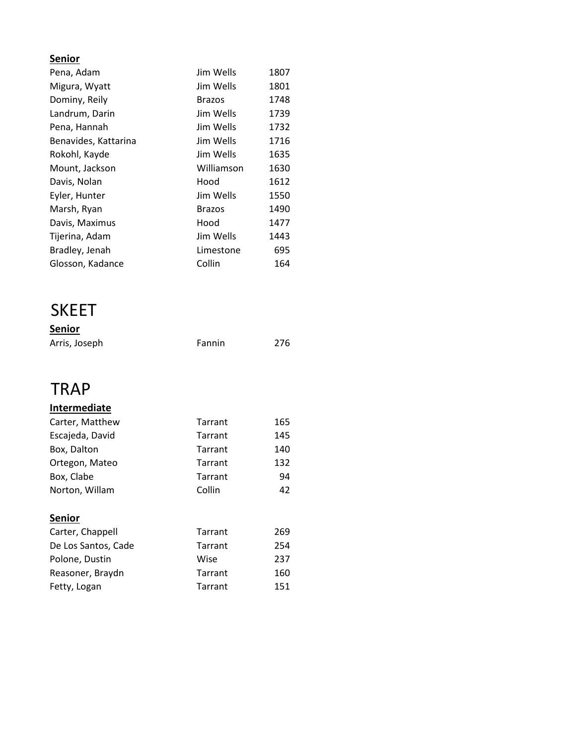| Pena, Adam           | Jim Wells     | 1807 |
|----------------------|---------------|------|
| Migura, Wyatt        | Jim Wells     | 1801 |
| Dominy, Reily        | <b>Brazos</b> | 1748 |
| Landrum, Darin       | Jim Wells     | 1739 |
| Pena, Hannah         | Jim Wells     | 1732 |
| Benavides, Kattarina | Jim Wells     | 1716 |
| Rokohl, Kayde        | Jim Wells     | 1635 |
| Mount, Jackson       | Williamson    | 1630 |
| Davis, Nolan         | Hood          | 1612 |
| Eyler, Hunter        | Jim Wells     | 1550 |
| Marsh, Ryan          | <b>Brazos</b> | 1490 |
| Davis, Maximus       | Hood          | 1477 |
| Tijerina, Adam       | Jim Wells     | 1443 |
| Bradley, Jenah       | Limestone     | 695  |
| Glosson, Kadance     | Collin        | 164  |

#### SKEET

| <b>Senior</b> |        |     |
|---------------|--------|-----|
| Arris, Joseph | Fannin | 276 |

#### **TRAP**

#### **Intermediate**

| Carter, Matthew | Tarrant | 165 |
|-----------------|---------|-----|
| Escajeda, David | Tarrant | 145 |
| Box, Dalton     | Tarrant | 140 |
| Ortegon, Mateo  | Tarrant | 132 |
| Box, Clabe      | Tarrant | 94  |
| Norton, Willam  | Collin  | 42  |

#### **Senior**

| Carter, Chappell    | Tarrant | 269 |
|---------------------|---------|-----|
| De Los Santos, Cade | Tarrant | 254 |
| Polone, Dustin      | Wise    | 237 |
| Reasoner, Braydn    | Tarrant | 160 |
| Fetty, Logan        | Tarrant | 151 |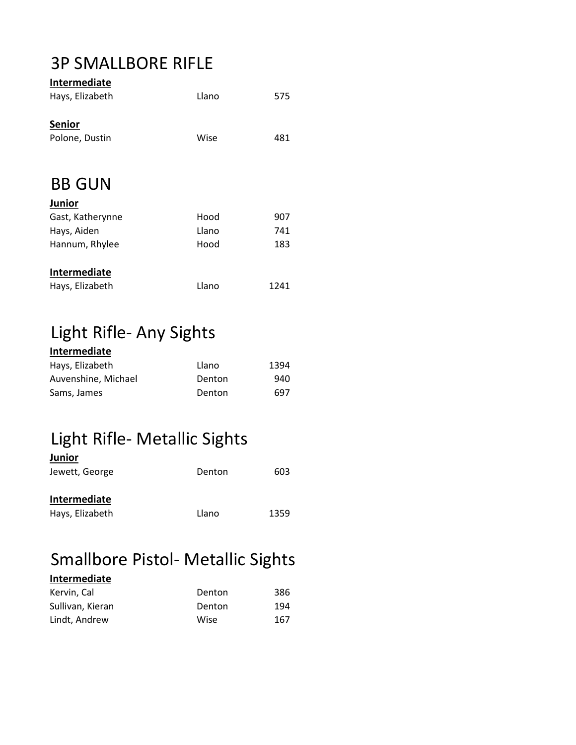#### 3P SMALLBORE RIFLE

| Intermediate     |       |      |
|------------------|-------|------|
| Hays, Elizabeth  | Llano | 575  |
| <b>Senior</b>    |       |      |
| Polone, Dustin   | Wise  | 481  |
|                  |       |      |
| <b>BB GUN</b>    |       |      |
| Junior           |       |      |
| Gast, Katherynne | Hood  | 907  |
| Hays, Aiden      | Llano | 741  |
| Hannum, Rhylee   | Hood  | 183  |
| Intermediate     |       |      |
| Hays, Elizabeth  | Llano | 1241 |

# Light Rifle- Any Sights

| Intermediate        |        |      |
|---------------------|--------|------|
| Hays, Elizabeth     | Llano  | 1394 |
| Auvenshine, Michael | Denton | 940  |
| Sams, James         | Denton | 697  |

### Light Rifle- Metallic Sights

| <b>Junior</b>                   |        |      |
|---------------------------------|--------|------|
| Jewett, George                  | Denton | 603  |
| Intermediate<br>Hays, Elizabeth | Llano  | 1359 |

### Smallbore Pistol- Metallic Sights

| Intermediate     |        |     |
|------------------|--------|-----|
| Kervin, Cal      | Denton | 386 |
| Sullivan, Kieran | Denton | 194 |
| Lindt, Andrew    | Wise   | 167 |